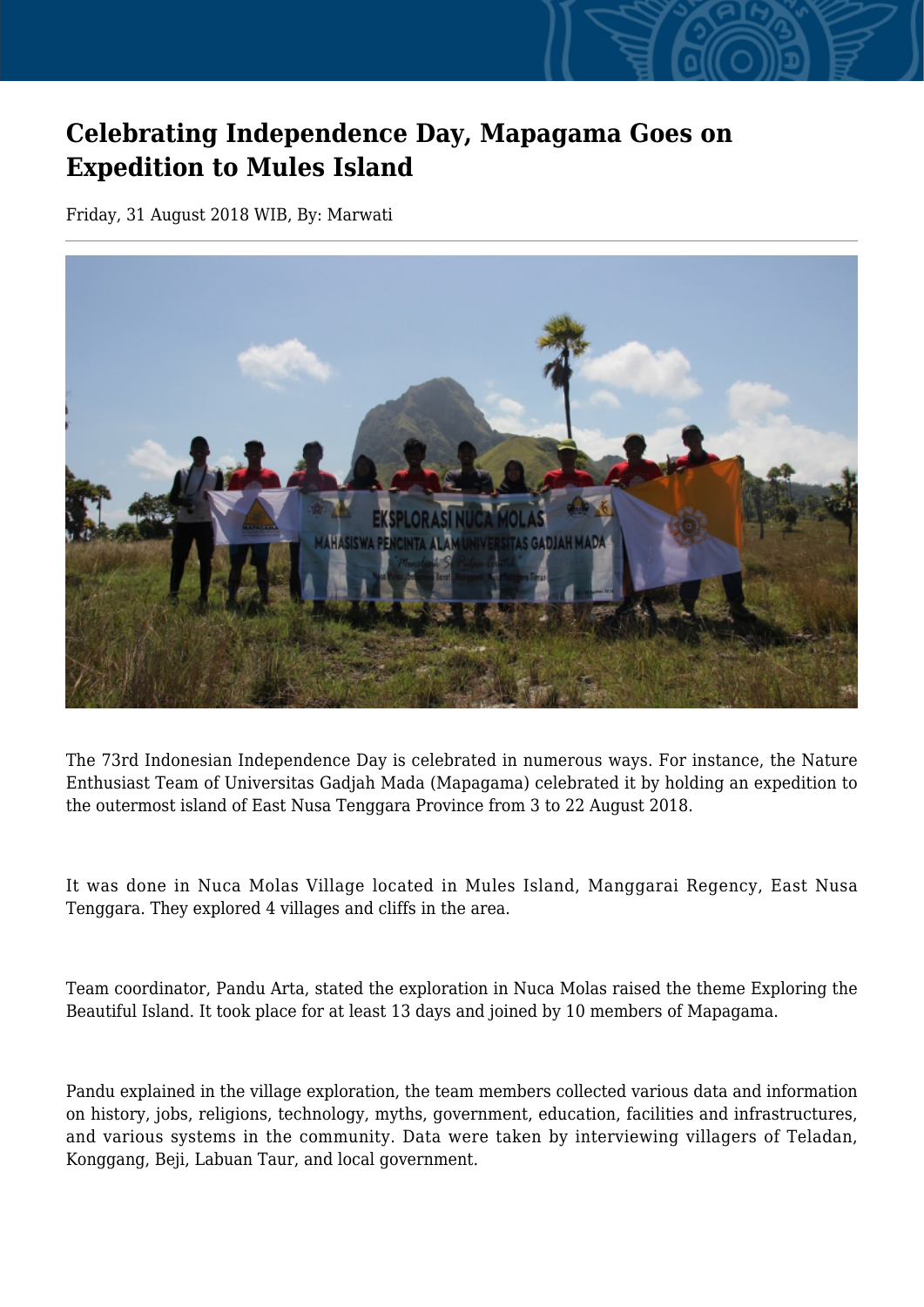## **Celebrating Independence Day, Mapagama Goes on Expedition to Mules Island**

Friday, 31 August 2018 WIB, By: Marwati



The 73rd Indonesian Independence Day is celebrated in numerous ways. For instance, the Nature Enthusiast Team of Universitas Gadjah Mada (Mapagama) celebrated it by holding an expedition to the outermost island of East Nusa Tenggara Province from 3 to 22 August 2018.

It was done in Nuca Molas Village located in Mules Island, Manggarai Regency, East Nusa Tenggara. They explored 4 villages and cliffs in the area.

Team coordinator, Pandu Arta, stated the exploration in Nuca Molas raised the theme Exploring the Beautiful Island. It took place for at least 13 days and joined by 10 members of Mapagama.

Pandu explained in the village exploration, the team members collected various data and information on history, jobs, religions, technology, myths, government, education, facilities and infrastructures, and various systems in the community. Data were taken by interviewing villagers of Teladan, Konggang, Beji, Labuan Taur, and local government.